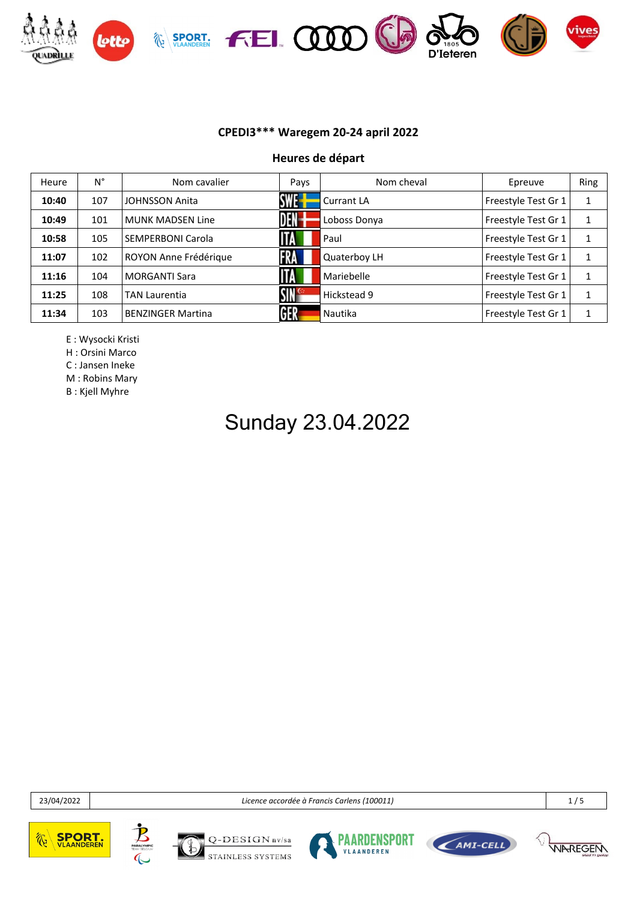

**Heures de départ**

| Heure | N°  | Nom cavalier             | Pays                  | Nom cheval     | Epreuve             | Ring |
|-------|-----|--------------------------|-----------------------|----------------|---------------------|------|
| 10:40 | 107 | <b>JOHNSSON Anita</b>    | SWE-I                 | Currant LA     | Freestyle Test Gr 1 | 1    |
| 10:49 | 101 | <b>MUNK MADSEN Line</b>  | <b>DEN-</b>           | Loboss Donya   | Freestyle Test Gr 1 | 1    |
| 10:58 | 105 | SEMPERBONI Carola        | <b>ITA</b>            | Paul           | Freestyle Test Gr 1 | 1    |
| 11:07 | 102 | ROYON Anne Frédérique    | <b>FRA</b>            | Quaterboy LH   | Freestyle Test Gr 1 | 1    |
| 11:16 | 104 | <b>MORGANTI Sara</b>     | <b>ITA</b>            | Mariebelle     | Freestyle Test Gr 1 | 1    |
| 11:25 | 108 | <b>TAN Laurentia</b>     | $\mathsf{SIN}^\infty$ | Hickstead 9    | Freestyle Test Gr 1 | 1    |
| 11:34 | 103 | <b>BENZINGER Martina</b> | GER                   | <b>Nautika</b> | Freestyle Test Gr 1 | 1    |

E : Wysocki Kristi

H : Orsini Marco

C : Jansen Ineke

M : Robins Mary

B : Kjell Myhre

## Sunday 23.04.2022

23/04/2022 *Licence accordée à Francis Carlens (100011)* 1 / 5







 $DESIGN_{nV/sa}$ STAINLESS SYSTEMS





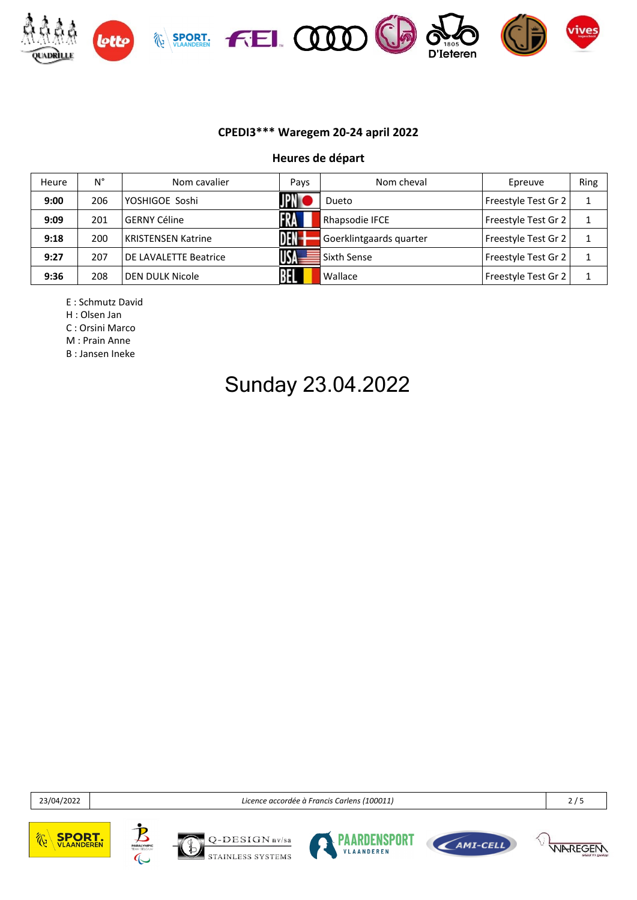

#### **Heures de départ**

| Heure | N°  | Nom cavalier              | Pays | Nom cheval              | Epreuve             | Ring |
|-------|-----|---------------------------|------|-------------------------|---------------------|------|
| 9:00  | 206 | YOSHIGOE Soshi            |      | Dueto                   | Freestyle Test Gr 2 |      |
| 9:09  | 201 | <b>GERNY Céline</b>       |      | Rhapsodie IFCE          | Freestyle Test Gr 2 |      |
| 9:18  | 200 | <b>KRISTENSEN Katrine</b> | DEN- | Goerklintgaards quarter | Freestyle Test Gr 2 |      |
| 9:27  | 207 | DE LAVALETTE Beatrice     |      | Sixth Sense             | Freestyle Test Gr 2 |      |
| 9:36  | 208 | DEN DULK Nicole           |      | Wallace                 | Freestyle Test Gr 2 |      |

E : Schmutz David

H : Olsen Jan

C : Orsini Marco

M : Prain Anne

B : Jansen Ineke

## Sunday 23.04.2022

23/04/2022 *Licence accordée à Francis Carlens (100011)* 2 / 5











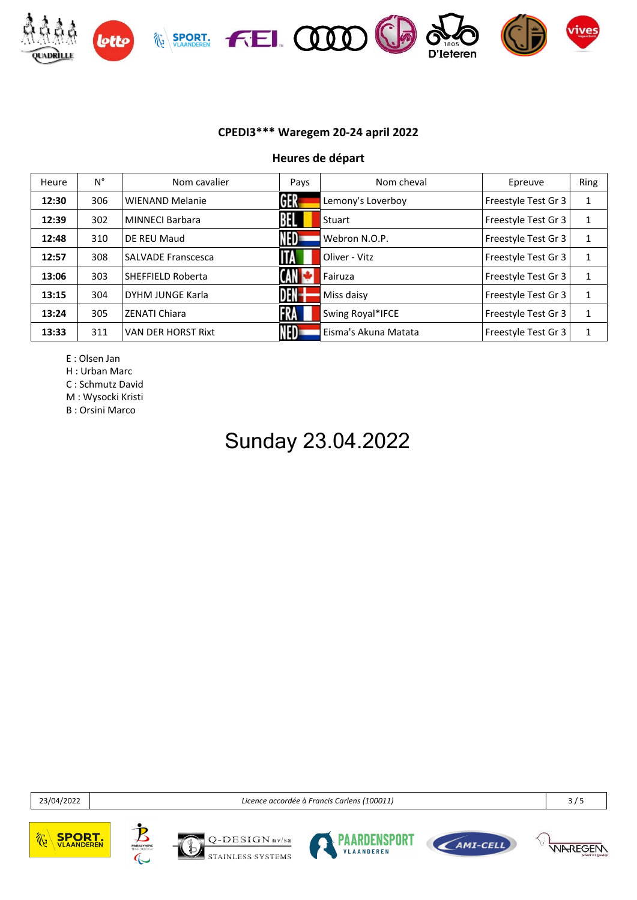

**Heures de départ**

| Heure | Ν°  | Nom cavalier              | Pays       | Nom cheval           | Epreuve             | Ring         |
|-------|-----|---------------------------|------------|----------------------|---------------------|--------------|
| 12:30 | 306 | <b>WIENAND Melanie</b>    | GER        | Lemony's Loverboy    | Freestyle Test Gr 3 | 1            |
| 12:39 | 302 | <b>MINNECI Barbara</b>    |            | Stuart               | Freestyle Test Gr 3 | $\mathbf{1}$ |
| 12:48 | 310 | DE REU Maud               | NED        | Webron N.O.P.        | Freestyle Test Gr 3 | 1            |
| 12:57 | 308 | <b>SALVADE Franscesca</b> | <b>IIA</b> | Oliver - Vitz        | Freestyle Test Gr 3 | 1            |
| 13:06 | 303 | <b>SHEFFIELD Roberta</b>  | (AN        | Fairuza              | Freestyle Test Gr 3 | 1            |
| 13:15 | 304 | DYHM JUNGE Karla          | DEN-       | Miss daisy           | Freestyle Test Gr 3 | $\mathbf{1}$ |
| 13:24 | 305 | <b>ZENATI Chiara</b>      | 1 KA       | Swing Royal*IFCE     | Freestyle Test Gr 3 | 1            |
| 13:33 | 311 | <b>VAN DER HORST Rixt</b> | <b>NED</b> | Eisma's Akuna Matata | Freestyle Test Gr 3 | 1            |

E : Olsen Jan

H : Urban Marc

C : Schmutz David

M : Wysocki Kristi

B : Orsini Marco

## Sunday 23.04.2022

23/04/2022 *Licence accordée à Francis Carlens (100011)* 3 / 5









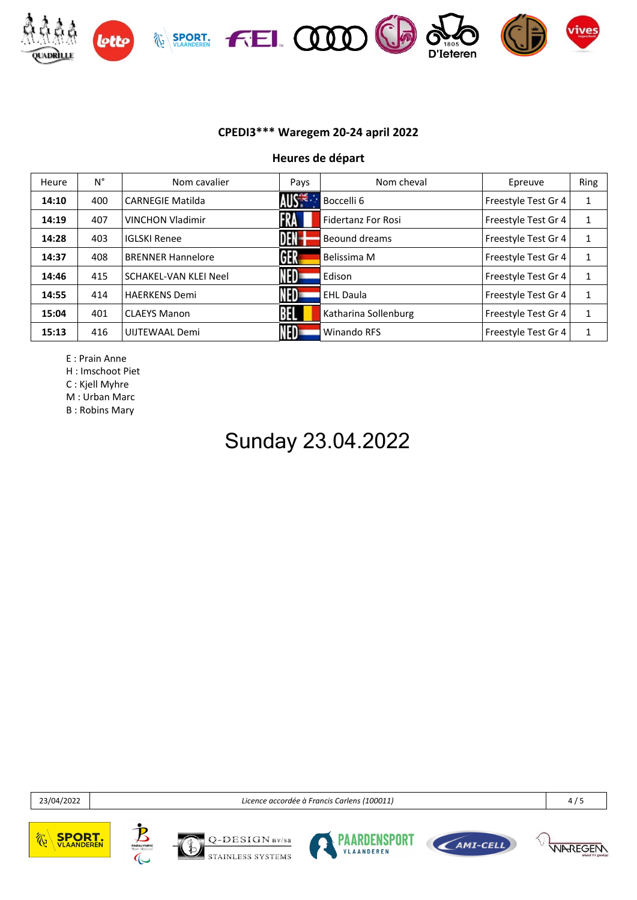

**Heures de départ**

| Heure | $N^{\circ}$ | Nom cavalier             | Pays              | Nom cheval                | Epreuve             | Ring         |
|-------|-------------|--------------------------|-------------------|---------------------------|---------------------|--------------|
| 14:10 | 400         | <b>CARNEGIE Matilda</b>  | AUS <sup>-1</sup> | Boccelli 6                | Freestyle Test Gr 4 | 1            |
| 14:19 | 407         | <b>VINCHON Vladimir</b>  | <b>FRA</b>        | <b>Fidertanz For Rosi</b> | Freestyle Test Gr 4 | $\mathbf{1}$ |
| 14:28 | 403         | <b>IGLSKI Renee</b>      | DEN-              | Beound dreams             | Freestyle Test Gr 4 | $\mathbf{1}$ |
| 14:37 | 408         | <b>BRENNER Hannelore</b> | GER               | Belissima M               | Freestyle Test Gr 4 | 1            |
| 14:46 | 415         | SCHAKEL-VAN KLEI Neel    | NED-              | Edison                    | Freestyle Test Gr 4 | 1            |
| 14:55 | 414         | <b>HAERKENS Demi</b>     | NED-              | <b>EHL Daula</b>          | Freestyle Test Gr 4 | 1            |
| 15:04 | 401         | <b>CLAEYS Manon</b>      |                   | Katharina Sollenburg      | Freestyle Test Gr 4 | 1            |
| 15:13 | 416         | UIJTEWAAL Demi           |                   | Winando RFS               | Freestyle Test Gr 4 | 1            |

E : Prain Anne

H : Imschoot Piet

C : Kjell Myhre

M : Urban Marc

B : Robins Mary

# Sunday 23.04.2022

23/04/2022 *Licence accordée à Francis Carlens (100011)* 4 / 5